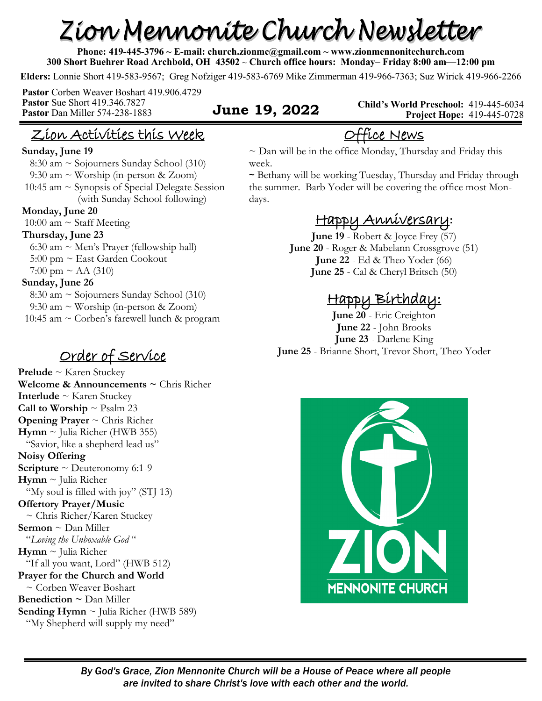# Zion Mennonite Church Newsletter

**Phone: 419-445-3796 ~ E-mail: church.zionmc@gmail.com ~ www.zionmennonitechurch.com 300 Short Buehrer Road Archbold, OH 43502** ~ **Church office hours: Monday– Friday 8:00 am—12:00 pm** 

**Elders:** Lonnie Short 419-583-9567; Greg Nofziger 419-583-6769 Mike Zimmerman 419-966-7363; Suz Wirick 419-966-2266

**Pastor** Corben Weaver Boshart 419.906.4729 **Pastor** Sue Short 419.346.7827 **Pastor** Dan Miller 574-238-1883 **June 19, 2022** 

**Child's World Preschool:** 419-445-6034 **Project Hope:** 419-445-0728

# Zion Activities this Week

#### **Sunday, June 19**

 8:30 am ~ Sojourners Sunday School (310) 9:30 am ~ Worship (in-person & Zoom) 10:45 am  $\sim$  Synopsis of Special Delegate Session (with Sunday School following) **Monday, June 20** 

10:00 am  $\sim$  Staff Meeting

#### **Thursday, June 23**

6:30 am  $\sim$  Men's Prayer (fellowship hall) 5:00 pm ~ East Garden Cookout 7:00 pm ~ AA (310)

#### **Sunday, June 26**

 8:30 am ~ Sojourners Sunday School (310) 9:30 am ~ Worship (in-person & Zoom) 10:45 am ~ Corben's farewell lunch & program

**Prelude** ~ Karen Stuckey **Welcome & Announcements ~** Chris Richer **Interlude** ~ Karen Stuckey **Call to Worship**  $\sim$  Psalm 23 **Opening Prayer** ~ Chris Richer **Hymn** ~ Julia Richer (HWB 355) "Savior, like a shepherd lead us" **Noisy Offering Scripture** ~ Deuteronomy 6:1-9 **Hymn** ~ Julia Richer "My soul is filled with joy" (STJ 13) **Offertory Prayer/Music** ~ Chris Richer/Karen Stuckey **Sermon** ~ Dan Miller "*Loving the Unboxable God* " **Hymn** ~ Julia Richer "If all you want, Lord" (HWB 512) **Prayer for the Church and World** ~ Corben Weaver Boshart **Benediction ~** Dan Miller **Sending Hymn** ~ Julia Richer (HWB 589) "My Shepherd will supply my need"

 $\sim$  Dan will be in the office Monday, Thursday and Friday this week.

Office News

~ Bethany will be working Tuesday, Thursday and Friday through the summer. Barb Yoder will be covering the office most Mondays.

### Happy Anniversary**:**

**June 19** - Robert & Joyce Frey (57) **June 20** - Roger & Mabelann Crossgrove (51) **June 22** - Ed & Theo Yoder (66) **June 25** - Cal & Cheryl Britsch (50)

#### Happy Birthday:

**June 20** - Eric Creighton **June 22** - John Brooks **June 23** - Darlene King **Order of Service** June 25 - Brianne Short, Trevor Short, Theo Yoder

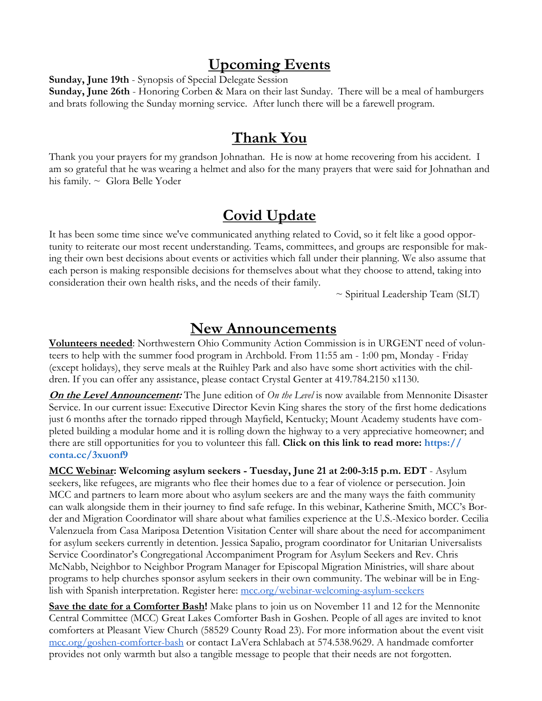#### **Upcoming Events**

**Sunday, June 19th** - Synopsis of Special Delegate Session

**Sunday, June 26th** - Honoring Corben & Mara on their last Sunday. There will be a meal of hamburgers and brats following the Sunday morning service. After lunch there will be a farewell program.

#### **Thank You**

Thank you your prayers for my grandson Johnathan. He is now at home recovering from his accident. I am so grateful that he was wearing a helmet and also for the many prayers that were said for Johnathan and his family. ~ Glora Belle Yoder

### **Covid Update**

It has been some time since we've communicated anything related to Covid, so it felt like a good opportunity to reiterate our most recent understanding. Teams, committees, and groups are responsible for making their own best decisions about events or activities which fall under their planning. We also assume that each person is making responsible decisions for themselves about what they choose to attend, taking into consideration their own health risks, and the needs of their family.

~ Spiritual Leadership Team (SLT)

#### **New Announcements**

**Volunteers needed**: Northwestern Ohio Community Action Commission is in URGENT need of volunteers to help with the summer food program in Archbold. From 11:55 am - 1:00 pm, Monday - Friday (except holidays), they serve meals at the Ruihley Park and also have some short activities with the children. If you can offer any assistance, please contact Crystal Genter at 419.784.2150 x1130.

**On the Level Announcement:** The June edition of *On the Level* is now available from Mennonite Disaster Service. In our current issue: Executive Director Kevin King shares the story of the first home dedications just 6 months after the tornado ripped through Mayfield, Kentucky; Mount Academy students have completed building a modular home and it is rolling down the highway to a very appreciative homeowner; and there are still opportunities for you to volunteer this fall. **Click on this link to read more: [h](https://r20.rs6.net/tn.jsp?f=0018iLlDC5RPso2JiI_7PuAdg20ipw0kz37Bsw7lFgrPLTWBWwxFNyzgo5FIzYXoMz_n_fY_DQ8sTouhJ93nIvb4Ag09VwR9zFe0eZFQPnoSObPcdDNOeVHyFopw6Pafz4V4phVyuEUBVwgtu0nqIBhnA==&c=9Eqmj1ZnntkJDswk2nuesvtd3dgdETskBpy2-AzA0o8vcKkWFv1hrw==&ch=ovNKRpg-l9a_)[ttps://](https://r20.rs6.net/tn.jsp?f=0018iLlDC5RPso2JiI_7PuAdg20ipw0kz37Bsw7lFgrPLTWBWwxFNyzgsJPPV5PMsgOWQ2V-DDs9V07WqpZZcAtDrryUtsqkRA-ZLHzVhYDg7_bqDWkZVz3GTfXnliZJY95c2fskj0AoM6DBZLKOaBXow==&c=9Eqmj1ZnntkJDswk2nuesvtd3dgdETskBpy2-AzA0o8vcKkWFv1hrw==&ch=ovNKRpg-l9a_) [conta.cc/3xuonf9](https://r20.rs6.net/tn.jsp?f=0018iLlDC5RPso2JiI_7PuAdg20ipw0kz37Bsw7lFgrPLTWBWwxFNyzgsJPPV5PMsgOWQ2V-DDs9V07WqpZZcAtDrryUtsqkRA-ZLHzVhYDg7_bqDWkZVz3GTfXnliZJY95c2fskj0AoM6DBZLKOaBXow==&c=9Eqmj1ZnntkJDswk2nuesvtd3dgdETskBpy2-AzA0o8vcKkWFv1hrw==&ch=ovNKRpg-l9a_)**

**MCC Webinar: Welcoming asylum seekers - Tuesday, June 21 at 2:00-3:15 p.m. EDT** - Asylum seekers, like refugees, are migrants who flee their homes due to a fear of violence or persecution. Join MCC and partners to learn more about who asylum seekers are and the many ways the faith community can walk alongside them in their journey to find safe refuge. In this webinar, Katherine Smith, MCC's Border and Migration Coordinator will share about what families experience at the U.S.-Mexico border. Cecilia Valenzuela from Casa Mariposa Detention Visitation Center will share about the need for accompaniment for asylum seekers currently in detention. Jessica Sapalio, program coordinator for Unitarian Universalists Service Coordinator's Congregational Accompaniment Program for Asylum Seekers and Rev. Chris McNabb, Neighbor to Neighbor Program Manager for Episcopal Migration Ministries, will share about programs to help churches sponsor asylum seekers in their own community. The webinar will be in English with Spanish interpretation. Register here: [mcc.org/webinar-welcoming-asylum-seekers](https://mcc.org/webinar-welcoming-asylum-seekers)

**Save the date for a Comforter Bash!** Make plans to join us on November 11 and 12 for the Mennonite Central Committee (MCC) Great Lakes Comforter Bash in Goshen. People of all ages are invited to knot comforters at Pleasant View Church (58529 County Road 23). For more information about the event visit [mcc.org/goshen-comforter-bash](https://mcc.org/get-involved/events/mcc-great-lakes-goshen-comforter-bash) or contact LaVera Schlabach at 574.538.9629. A handmade comforter provides not only warmth but also a tangible message to people that their needs are not forgotten.